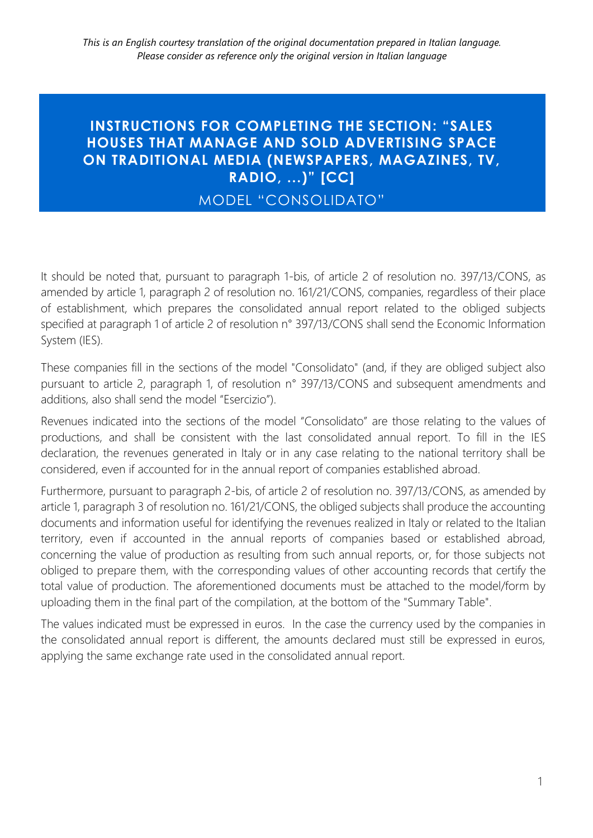## **INSTRUCTIONS FOR COMPLETING THE SECTION: "SALES HOUSES THAT MANAGE AND SOLD ADVERTISING SPACE ON TRADITIONAL MEDIA (NEWSPAPERS, MAGAZINES, TV, RADIO, ...)" [CC]**

## MODEL "CONSOLIDATO"

It should be noted that, pursuant to paragraph 1-bis, of article 2 of resolution no. 397/13/CONS, as amended by article 1, paragraph 2 of resolution no. 161/21/CONS, companies, regardless of their place of establishment, which prepares the consolidated annual report related to the obliged subjects specified at paragraph 1 of article 2 of resolution n° 397/13/CONS shall send the Economic Information System (IES).

These companies fill in the sections of the model "Consolidato" (and, if they are obliged subject also pursuant to article 2, paragraph 1, of resolution n° 397/13/CONS and subsequent amendments and additions, also shall send the model "Esercizio").

Revenues indicated into the sections of the model "Consolidato" are those relating to the values of productions, and shall be consistent with the last consolidated annual report. To fill in the IES declaration, the revenues generated in Italy or in any case relating to the national territory shall be considered, even if accounted for in the annual report of companies established abroad.

Furthermore, pursuant to paragraph 2-bis, of article 2 of resolution no. 397/13/CONS, as amended by article 1, paragraph 3 of resolution no. 161/21/CONS, the obliged subjects shall produce the accounting documents and information useful for identifying the revenues realized in Italy or related to the Italian territory, even if accounted in the annual reports of companies based or established abroad, concerning the value of production as resulting from such annual reports, or, for those subjects not obliged to prepare them, with the corresponding values of other accounting records that certify the total value of production. The aforementioned documents must be attached to the model/form by uploading them in the final part of the compilation, at the bottom of the "Summary Table".

The values indicated must be expressed in euros. In the case the currency used by the companies in the consolidated annual report is different, the amounts declared must still be expressed in euros, applying the same exchange rate used in the consolidated annual report.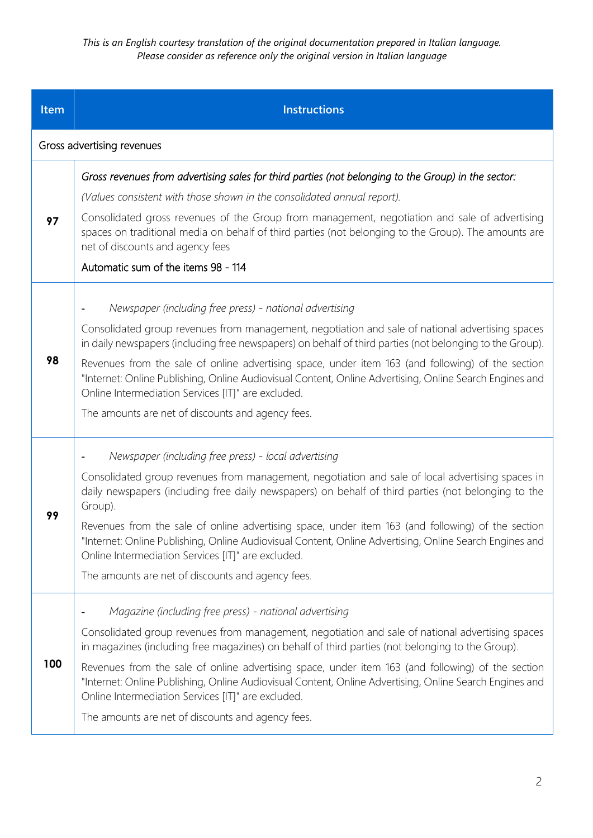*This is an English courtesy translation of the original documentation prepared in Italian language. Please consider as reference only the original version in Italian language*

| Item | <b>Instructions</b>                                                                                                                                                                                                                                                |
|------|--------------------------------------------------------------------------------------------------------------------------------------------------------------------------------------------------------------------------------------------------------------------|
|      | Gross advertising revenues                                                                                                                                                                                                                                         |
|      | Gross revenues from advertising sales for third parties (not belonging to the Group) in the sector:                                                                                                                                                                |
|      | (Values consistent with those shown in the consolidated annual report).                                                                                                                                                                                            |
| 97   | Consolidated gross revenues of the Group from management, negotiation and sale of advertising<br>spaces on traditional media on behalf of third parties (not belonging to the Group). The amounts are<br>net of discounts and agency fees                          |
|      | Automatic sum of the items 98 - 114                                                                                                                                                                                                                                |
|      | Newspaper (including free press) - national advertising                                                                                                                                                                                                            |
| 98   | Consolidated group revenues from management, negotiation and sale of national advertising spaces<br>in daily newspapers (including free newspapers) on behalf of third parties (not belonging to the Group).                                                       |
|      | Revenues from the sale of online advertising space, under item 163 (and following) of the section<br>"Internet: Online Publishing, Online Audiovisual Content, Online Advertising, Online Search Engines and<br>Online Intermediation Services [IT]" are excluded. |
|      | The amounts are net of discounts and agency fees.                                                                                                                                                                                                                  |
|      | Newspaper (including free press) - local advertising                                                                                                                                                                                                               |
| 99   | Consolidated group revenues from management, negotiation and sale of local advertising spaces in<br>daily newspapers (including free daily newspapers) on behalf of third parties (not belonging to the<br>Group).                                                 |
|      | Revenues from the sale of online advertising space, under item 163 (and following) of the section<br>"Internet: Online Publishing, Online Audiovisual Content, Online Advertising, Online Search Engines and<br>Online Intermediation Services [IT]" are excluded. |
|      | The amounts are net of discounts and agency fees.                                                                                                                                                                                                                  |
|      | Magazine (including free press) - national advertising                                                                                                                                                                                                             |
| 100  | Consolidated group revenues from management, negotiation and sale of national advertising spaces<br>in magazines (including free magazines) on behalf of third parties (not belonging to the Group).                                                               |
|      | Revenues from the sale of online advertising space, under item 163 (and following) of the section<br>"Internet: Online Publishing, Online Audiovisual Content, Online Advertising, Online Search Engines and<br>Online Intermediation Services [IT]" are excluded. |
|      | The amounts are net of discounts and agency fees.                                                                                                                                                                                                                  |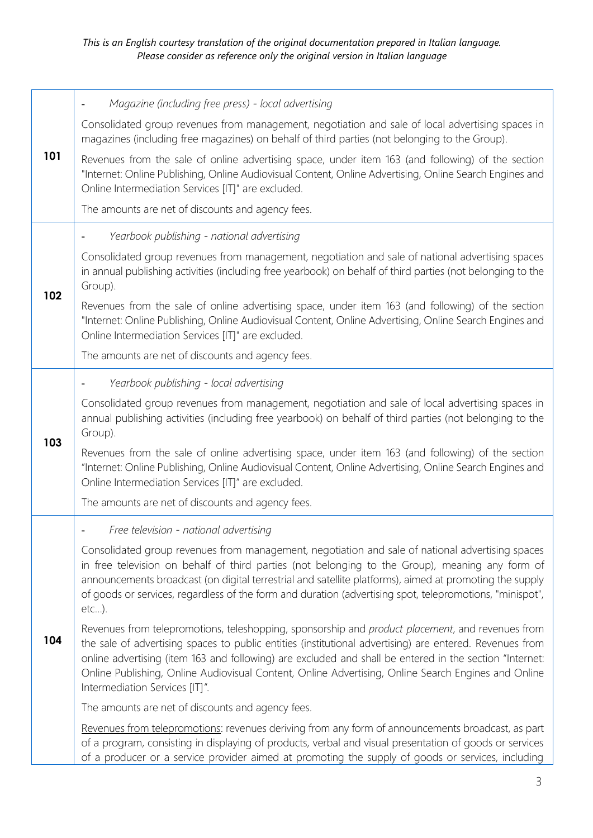| 101 | Magazine (including free press) - local advertising                                                                                                                                                                                                                                                                                                                                                                                                              |
|-----|------------------------------------------------------------------------------------------------------------------------------------------------------------------------------------------------------------------------------------------------------------------------------------------------------------------------------------------------------------------------------------------------------------------------------------------------------------------|
|     | Consolidated group revenues from management, negotiation and sale of local advertising spaces in<br>magazines (including free magazines) on behalf of third parties (not belonging to the Group).                                                                                                                                                                                                                                                                |
|     | Revenues from the sale of online advertising space, under item 163 (and following) of the section<br>"Internet: Online Publishing, Online Audiovisual Content, Online Advertising, Online Search Engines and<br>Online Intermediation Services [IT]" are excluded.                                                                                                                                                                                               |
|     | The amounts are net of discounts and agency fees.                                                                                                                                                                                                                                                                                                                                                                                                                |
|     | Yearbook publishing - national advertising                                                                                                                                                                                                                                                                                                                                                                                                                       |
| 102 | Consolidated group revenues from management, negotiation and sale of national advertising spaces<br>in annual publishing activities (including free yearbook) on behalf of third parties (not belonging to the<br>Group).                                                                                                                                                                                                                                        |
|     | Revenues from the sale of online advertising space, under item 163 (and following) of the section<br>"Internet: Online Publishing, Online Audiovisual Content, Online Advertising, Online Search Engines and<br>Online Intermediation Services [IT]" are excluded.                                                                                                                                                                                               |
|     | The amounts are net of discounts and agency fees.                                                                                                                                                                                                                                                                                                                                                                                                                |
|     | Yearbook publishing - local advertising                                                                                                                                                                                                                                                                                                                                                                                                                          |
| 103 | Consolidated group revenues from management, negotiation and sale of local advertising spaces in<br>annual publishing activities (including free yearbook) on behalf of third parties (not belonging to the<br>Group).                                                                                                                                                                                                                                           |
|     | Revenues from the sale of online advertising space, under item 163 (and following) of the section<br>"Internet: Online Publishing, Online Audiovisual Content, Online Advertising, Online Search Engines and<br>Online Intermediation Services [IT]" are excluded.                                                                                                                                                                                               |
|     | The amounts are net of discounts and agency fees.                                                                                                                                                                                                                                                                                                                                                                                                                |
|     | Free television - national advertising                                                                                                                                                                                                                                                                                                                                                                                                                           |
| 104 | Consolidated group revenues from management, negotiation and sale of national advertising spaces<br>in free television on behalf of third parties (not belonging to the Group), meaning any form of<br>announcements broadcast (on digital terrestrial and satellite platforms), aimed at promoting the supply<br>of goods or services, regardless of the form and duration (advertising spot, telepromotions, "minispot",<br>$etc$ ).                           |
|     | Revenues from telepromotions, teleshopping, sponsorship and product placement, and revenues from<br>the sale of advertising spaces to public entities (institutional advertising) are entered. Revenues from<br>online advertising (item 163 and following) are excluded and shall be entered in the section "Internet:<br>Online Publishing, Online Audiovisual Content, Online Advertising, Online Search Engines and Online<br>Intermediation Services [IT]". |
|     | The amounts are net of discounts and agency fees.                                                                                                                                                                                                                                                                                                                                                                                                                |
|     | Revenues from telepromotions: revenues deriving from any form of announcements broadcast, as part<br>of a program, consisting in displaying of products, verbal and visual presentation of goods or services<br>of a producer or a service provider aimed at promoting the supply of goods or services, including                                                                                                                                                |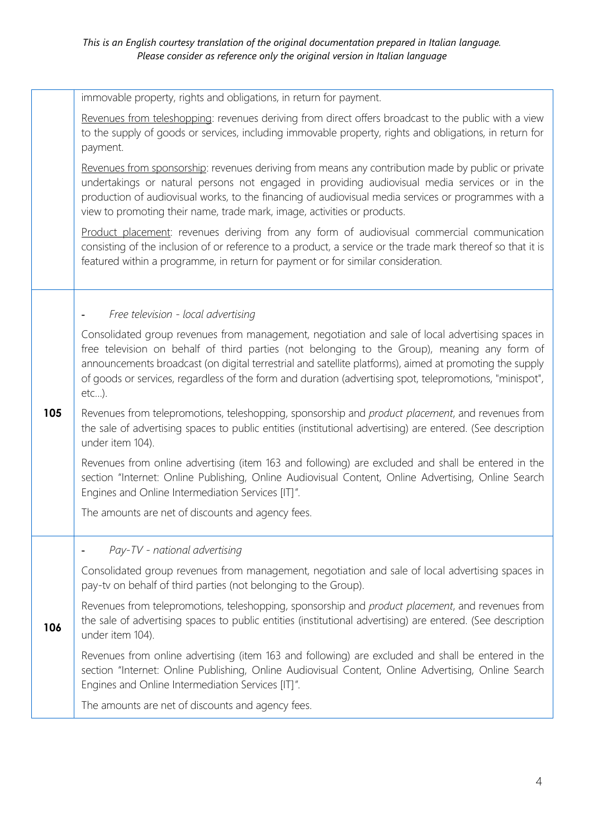|     | immovable property, rights and obligations, in return for payment.                                                                                                                                                                                                                                                                                                                                                               |
|-----|----------------------------------------------------------------------------------------------------------------------------------------------------------------------------------------------------------------------------------------------------------------------------------------------------------------------------------------------------------------------------------------------------------------------------------|
|     | Revenues from teleshopping: revenues deriving from direct offers broadcast to the public with a view<br>to the supply of goods or services, including immovable property, rights and obligations, in return for<br>payment.                                                                                                                                                                                                      |
|     | Revenues from sponsorship: revenues deriving from means any contribution made by public or private<br>undertakings or natural persons not engaged in providing audiovisual media services or in the<br>production of audiovisual works, to the financing of audiovisual media services or programmes with a<br>view to promoting their name, trade mark, image, activities or products.                                          |
|     | Product placement: revenues deriving from any form of audiovisual commercial communication<br>consisting of the inclusion of or reference to a product, a service or the trade mark thereof so that it is<br>featured within a programme, in return for payment or for similar consideration.                                                                                                                                    |
|     | Free television - local advertising                                                                                                                                                                                                                                                                                                                                                                                              |
| 105 | Consolidated group revenues from management, negotiation and sale of local advertising spaces in<br>free television on behalf of third parties (not belonging to the Group), meaning any form of<br>announcements broadcast (on digital terrestrial and satellite platforms), aimed at promoting the supply<br>of goods or services, regardless of the form and duration (advertising spot, telepromotions, "minispot",<br>etc). |
|     | Revenues from telepromotions, teleshopping, sponsorship and product placement, and revenues from<br>the sale of advertising spaces to public entities (institutional advertising) are entered. (See description<br>under item 104).                                                                                                                                                                                              |
|     | Revenues from online advertising (item 163 and following) are excluded and shall be entered in the<br>section "Internet: Online Publishing, Online Audiovisual Content, Online Advertising, Online Search<br>Engines and Online Intermediation Services [IT]".                                                                                                                                                                   |
|     | The amounts are net of discounts and agency fees.                                                                                                                                                                                                                                                                                                                                                                                |
|     | Pay-TV - national advertising                                                                                                                                                                                                                                                                                                                                                                                                    |
| 106 | Consolidated group revenues from management, negotiation and sale of local advertising spaces in<br>pay-tv on behalf of third parties (not belonging to the Group).                                                                                                                                                                                                                                                              |
|     | Revenues from telepromotions, teleshopping, sponsorship and <i>product placement</i> , and revenues from<br>the sale of advertising spaces to public entities (institutional advertising) are entered. (See description<br>under item 104).                                                                                                                                                                                      |
|     | Revenues from online advertising (item 163 and following) are excluded and shall be entered in the<br>section "Internet: Online Publishing, Online Audiovisual Content, Online Advertising, Online Search<br>Engines and Online Intermediation Services [IT]".                                                                                                                                                                   |
|     | The amounts are net of discounts and agency fees.                                                                                                                                                                                                                                                                                                                                                                                |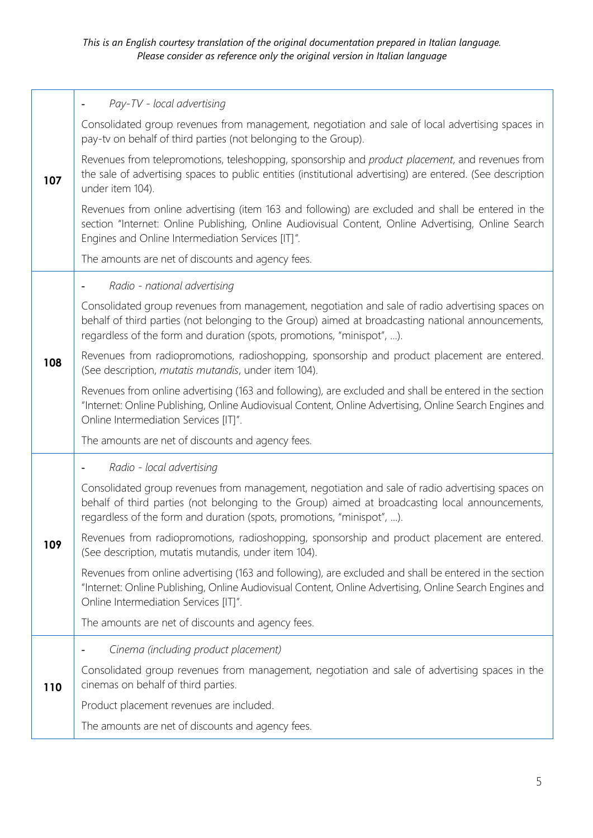| 107 | Pay-TV - local advertising                                                                                                                                                                                                                                                       |
|-----|----------------------------------------------------------------------------------------------------------------------------------------------------------------------------------------------------------------------------------------------------------------------------------|
|     | Consolidated group revenues from management, negotiation and sale of local advertising spaces in<br>pay-tv on behalf of third parties (not belonging to the Group).                                                                                                              |
|     | Revenues from telepromotions, teleshopping, sponsorship and product placement, and revenues from<br>the sale of advertising spaces to public entities (institutional advertising) are entered. (See description<br>under item 104).                                              |
|     | Revenues from online advertising (item 163 and following) are excluded and shall be entered in the<br>section "Internet: Online Publishing, Online Audiovisual Content, Online Advertising, Online Search<br>Engines and Online Intermediation Services [IT]".                   |
|     | The amounts are net of discounts and agency fees.                                                                                                                                                                                                                                |
|     | Radio - national advertising                                                                                                                                                                                                                                                     |
| 108 | Consolidated group revenues from management, negotiation and sale of radio advertising spaces on<br>behalf of third parties (not belonging to the Group) aimed at broadcasting national announcements,<br>regardless of the form and duration (spots, promotions, "minispot", ). |
|     | Revenues from radiopromotions, radioshopping, sponsorship and product placement are entered.<br>(See description, mutatis mutandis, under item 104).                                                                                                                             |
|     | Revenues from online advertising (163 and following), are excluded and shall be entered in the section<br>"Internet: Online Publishing, Online Audiovisual Content, Online Advertising, Online Search Engines and<br>Online Intermediation Services [IT]".                       |
|     | The amounts are net of discounts and agency fees.                                                                                                                                                                                                                                |
|     | Radio - local advertising                                                                                                                                                                                                                                                        |
|     | Consolidated group revenues from management, negotiation and sale of radio advertising spaces on<br>behalf of third parties (not belonging to the Group) aimed at broadcasting local announcements,<br>regardless of the form and duration (spots, promotions, "minispot", ).    |
| 109 | Revenues from radiopromotions, radioshopping, sponsorship and product placement are entered.<br>(See description, mutatis mutandis, under item 104).                                                                                                                             |
|     | Revenues from online advertising (163 and following), are excluded and shall be entered in the section<br>"Internet: Online Publishing, Online Audiovisual Content, Online Advertising, Online Search Engines and<br>Online Intermediation Services [IT]".                       |
|     | The amounts are net of discounts and agency fees.                                                                                                                                                                                                                                |
|     | Cinema (including product placement)                                                                                                                                                                                                                                             |
| 110 | Consolidated group revenues from management, negotiation and sale of advertising spaces in the<br>cinemas on behalf of third parties.                                                                                                                                            |
|     | Product placement revenues are included.                                                                                                                                                                                                                                         |
|     | The amounts are net of discounts and agency fees.                                                                                                                                                                                                                                |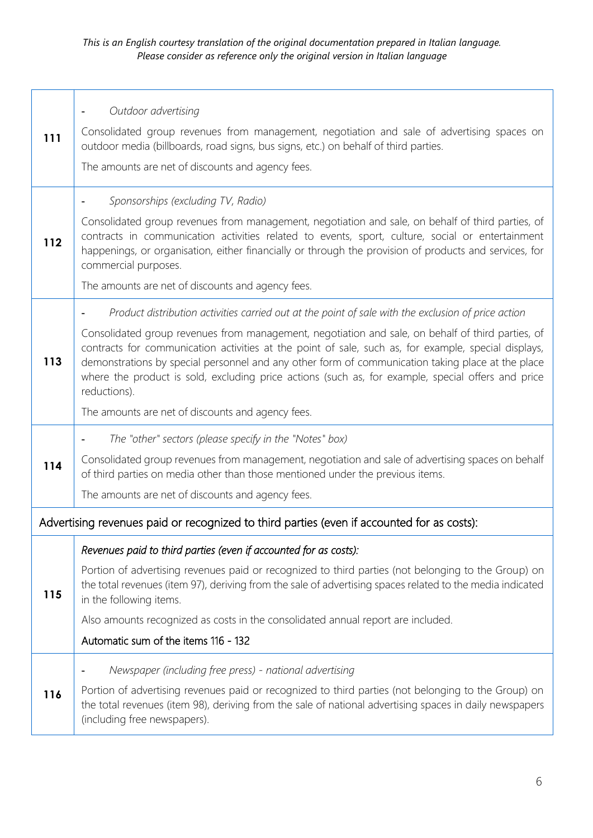$\mathbf{r}$ 

| 111 | Outdoor advertising<br>Consolidated group revenues from management, negotiation and sale of advertising spaces on<br>outdoor media (billboards, road signs, bus signs, etc.) on behalf of third parties.<br>The amounts are net of discounts and agency fees.                                                                                                                                                                                                                                                                                                                                    |
|-----|--------------------------------------------------------------------------------------------------------------------------------------------------------------------------------------------------------------------------------------------------------------------------------------------------------------------------------------------------------------------------------------------------------------------------------------------------------------------------------------------------------------------------------------------------------------------------------------------------|
| 112 | Sponsorships (excluding TV, Radio)<br>Consolidated group revenues from management, negotiation and sale, on behalf of third parties, of<br>contracts in communication activities related to events, sport, culture, social or entertainment<br>happenings, or organisation, either financially or through the provision of products and services, for<br>commercial purposes.<br>The amounts are net of discounts and agency fees.                                                                                                                                                               |
| 113 | Product distribution activities carried out at the point of sale with the exclusion of price action<br>Consolidated group revenues from management, negotiation and sale, on behalf of third parties, of<br>contracts for communication activities at the point of sale, such as, for example, special displays,<br>demonstrations by special personnel and any other form of communication taking place at the place<br>where the product is sold, excluding price actions (such as, for example, special offers and price<br>reductions).<br>The amounts are net of discounts and agency fees. |
| 114 | The "other" sectors (please specify in the "Notes" box)<br>Consolidated group revenues from management, negotiation and sale of advertising spaces on behalf<br>of third parties on media other than those mentioned under the previous items.<br>The amounts are net of discounts and agency fees.                                                                                                                                                                                                                                                                                              |
|     | Advertising revenues paid or recognized to third parties (even if accounted for as costs):                                                                                                                                                                                                                                                                                                                                                                                                                                                                                                       |
| 115 | Revenues paid to third parties (even if accounted for as costs):<br>Portion of advertising revenues paid or recognized to third parties (not belonging to the Group) on<br>the total revenues (item 97), deriving from the sale of advertising spaces related to the media indicated<br>in the following items.<br>Also amounts recognized as costs in the consolidated annual report are included.<br>Automatic sum of the items 116 - 132                                                                                                                                                      |
| 116 | Newspaper (including free press) - national advertising<br>Portion of advertising revenues paid or recognized to third parties (not belonging to the Group) on<br>the total revenues (item 98), deriving from the sale of national advertising spaces in daily newspapers<br>(including free newspapers).                                                                                                                                                                                                                                                                                        |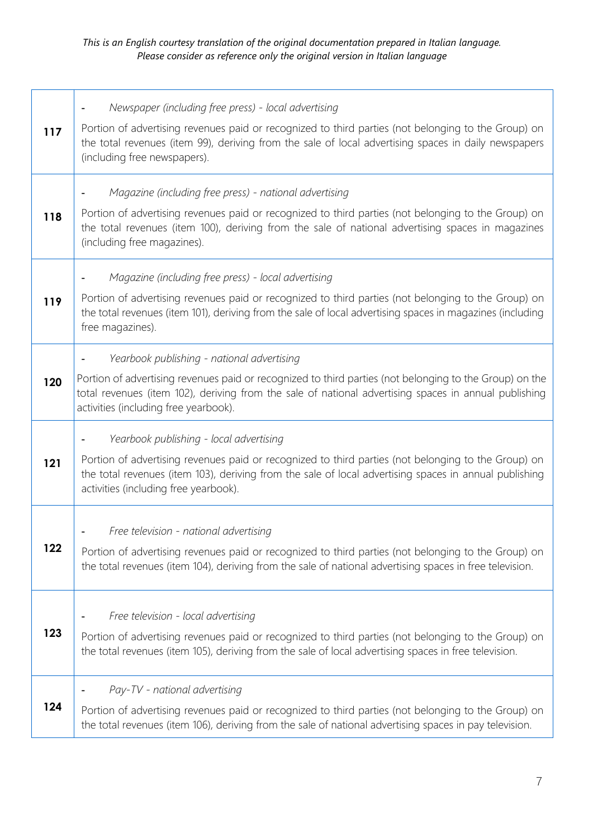## *This is an English courtesy translation of the original documentation prepared in Italian language. Please consider as reference only the original version in Italian language*

| 117 | Newspaper (including free press) - local advertising<br>Portion of advertising revenues paid or recognized to third parties (not belonging to the Group) on<br>the total revenues (item 99), deriving from the sale of local advertising spaces in daily newspapers<br>(including free newspapers).     |
|-----|---------------------------------------------------------------------------------------------------------------------------------------------------------------------------------------------------------------------------------------------------------------------------------------------------------|
| 118 | Magazine (including free press) - national advertising<br>Portion of advertising revenues paid or recognized to third parties (not belonging to the Group) on<br>the total revenues (item 100), deriving from the sale of national advertising spaces in magazines<br>(including free magazines).       |
| 119 | Magazine (including free press) - local advertising<br>Portion of advertising revenues paid or recognized to third parties (not belonging to the Group) on<br>the total revenues (item 101), deriving from the sale of local advertising spaces in magazines (including<br>free magazines).             |
| 120 | Yearbook publishing - national advertising<br>Portion of advertising revenues paid or recognized to third parties (not belonging to the Group) on the<br>total revenues (item 102), deriving from the sale of national advertising spaces in annual publishing<br>activities (including free yearbook). |
| 121 | Yearbook publishing - local advertising<br>Portion of advertising revenues paid or recognized to third parties (not belonging to the Group) on<br>the total revenues (item 103), deriving from the sale of local advertising spaces in annual publishing<br>activities (including free yearbook).       |
| 122 | Free television - national advertising<br>Portion of advertising revenues paid or recognized to third parties (not belonging to the Group) on<br>the total revenues (item 104), deriving from the sale of national advertising spaces in free television.                                               |
| 123 | Free television - local advertising<br>Portion of advertising revenues paid or recognized to third parties (not belonging to the Group) on<br>the total revenues (item 105), deriving from the sale of local advertising spaces in free television.                                                     |
| 124 | Pay-TV - national advertising<br>Portion of advertising revenues paid or recognized to third parties (not belonging to the Group) on<br>the total revenues (item 106), deriving from the sale of national advertising spaces in pay television.                                                         |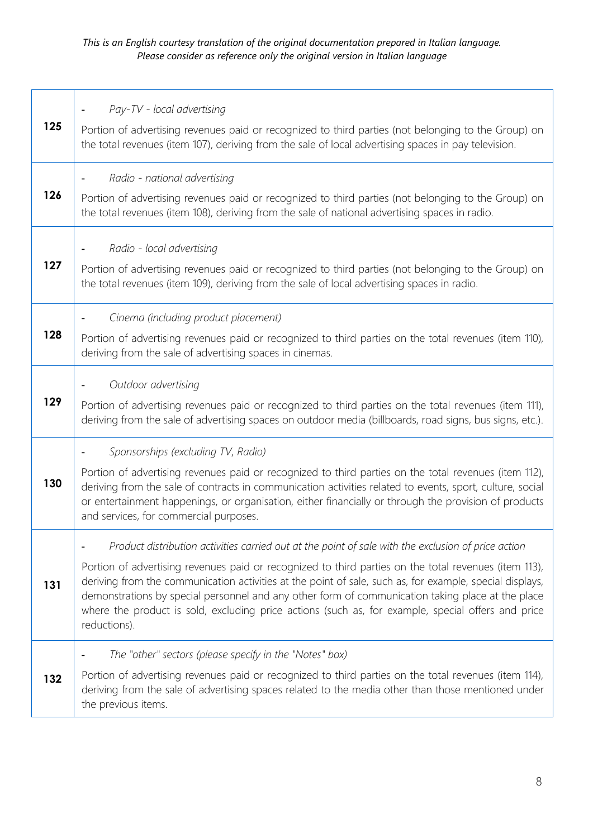## *This is an English courtesy translation of the original documentation prepared in Italian language. Please consider as reference only the original version in Italian language*

|     | Pay-TV - local advertising                                                                                                                                                                                                                                                                                                                                                                                                                   |
|-----|----------------------------------------------------------------------------------------------------------------------------------------------------------------------------------------------------------------------------------------------------------------------------------------------------------------------------------------------------------------------------------------------------------------------------------------------|
| 125 | Portion of advertising revenues paid or recognized to third parties (not belonging to the Group) on<br>the total revenues (item 107), deriving from the sale of local advertising spaces in pay television.                                                                                                                                                                                                                                  |
|     | Radio - national advertising                                                                                                                                                                                                                                                                                                                                                                                                                 |
| 126 | Portion of advertising revenues paid or recognized to third parties (not belonging to the Group) on<br>the total revenues (item 108), deriving from the sale of national advertising spaces in radio.                                                                                                                                                                                                                                        |
|     | Radio - local advertising                                                                                                                                                                                                                                                                                                                                                                                                                    |
| 127 | Portion of advertising revenues paid or recognized to third parties (not belonging to the Group) on<br>the total revenues (item 109), deriving from the sale of local advertising spaces in radio.                                                                                                                                                                                                                                           |
|     | Cinema (including product placement)                                                                                                                                                                                                                                                                                                                                                                                                         |
| 128 | Portion of advertising revenues paid or recognized to third parties on the total revenues (item 110),<br>deriving from the sale of advertising spaces in cinemas.                                                                                                                                                                                                                                                                            |
|     | Outdoor advertising                                                                                                                                                                                                                                                                                                                                                                                                                          |
| 129 | Portion of advertising revenues paid or recognized to third parties on the total revenues (item 111),<br>deriving from the sale of advertising spaces on outdoor media (billboards, road signs, bus signs, etc.).                                                                                                                                                                                                                            |
|     | Sponsorships (excluding TV, Radio)                                                                                                                                                                                                                                                                                                                                                                                                           |
| 130 | Portion of advertising revenues paid or recognized to third parties on the total revenues (item 112),<br>deriving from the sale of contracts in communication activities related to events, sport, culture, social<br>or entertainment happenings, or organisation, either financially or through the provision of products<br>and services, for commercial purposes.                                                                        |
|     | Product distribution activities carried out at the point of sale with the exclusion of price action                                                                                                                                                                                                                                                                                                                                          |
| 131 | Portion of advertising revenues paid or recognized to third parties on the total revenues (item 113),<br>deriving from the communication activities at the point of sale, such as, for example, special displays,<br>demonstrations by special personnel and any other form of communication taking place at the place<br>where the product is sold, excluding price actions (such as, for example, special offers and price<br>reductions). |
|     | The "other" sectors (please specify in the "Notes" box)                                                                                                                                                                                                                                                                                                                                                                                      |
| 132 | Portion of advertising revenues paid or recognized to third parties on the total revenues (item 114),<br>deriving from the sale of advertising spaces related to the media other than those mentioned under<br>the previous items.                                                                                                                                                                                                           |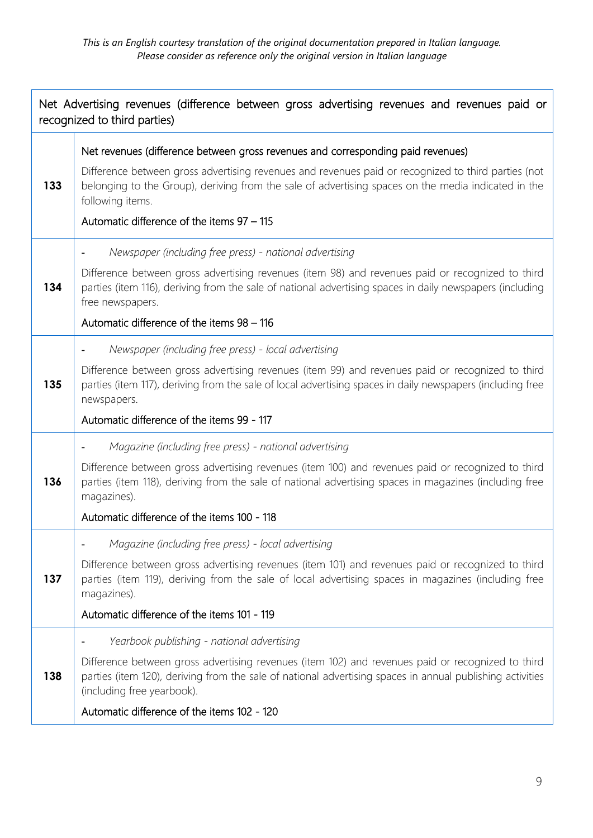| Net Advertising revenues (difference between gross advertising revenues and revenues paid or<br>recognized to third parties) |                                                                                                                                                                                                                                                                                                                                                                  |
|------------------------------------------------------------------------------------------------------------------------------|------------------------------------------------------------------------------------------------------------------------------------------------------------------------------------------------------------------------------------------------------------------------------------------------------------------------------------------------------------------|
| 133                                                                                                                          | Net revenues (difference between gross revenues and corresponding paid revenues)<br>Difference between gross advertising revenues and revenues paid or recognized to third parties (not<br>belonging to the Group), deriving from the sale of advertising spaces on the media indicated in the<br>following items.<br>Automatic difference of the items 97 - 115 |
| 134                                                                                                                          | Newspaper (including free press) - national advertising<br>Difference between gross advertising revenues (item 98) and revenues paid or recognized to third<br>parties (item 116), deriving from the sale of national advertising spaces in daily newspapers (including<br>free newspapers.<br>Automatic difference of the items 98 - 116                        |
| 135                                                                                                                          | Newspaper (including free press) - local advertising<br>Difference between gross advertising revenues (item 99) and revenues paid or recognized to third<br>parties (item 117), deriving from the sale of local advertising spaces in daily newspapers (including free<br>newspapers.<br>Automatic difference of the items 99 - 117                              |
| 136                                                                                                                          | Magazine (including free press) - national advertising<br>Difference between gross advertising revenues (item 100) and revenues paid or recognized to third<br>parties (item 118), deriving from the sale of national advertising spaces in magazines (including free<br>magazines).<br>Automatic difference of the items 100 - 118                              |
| 137                                                                                                                          | Magazine (including free press) - local advertising<br>Difference between gross advertising revenues (item 101) and revenues paid or recognized to third<br>parties (item 119), deriving from the sale of local advertising spaces in magazines (including free<br>magazines).<br>Automatic difference of the items 101 - 119                                    |
| 138                                                                                                                          | Yearbook publishing - national advertising<br>Difference between gross advertising revenues (item 102) and revenues paid or recognized to third<br>parties (item 120), deriving from the sale of national advertising spaces in annual publishing activities<br>(including free yearbook).<br>Automatic difference of the items 102 - 120                        |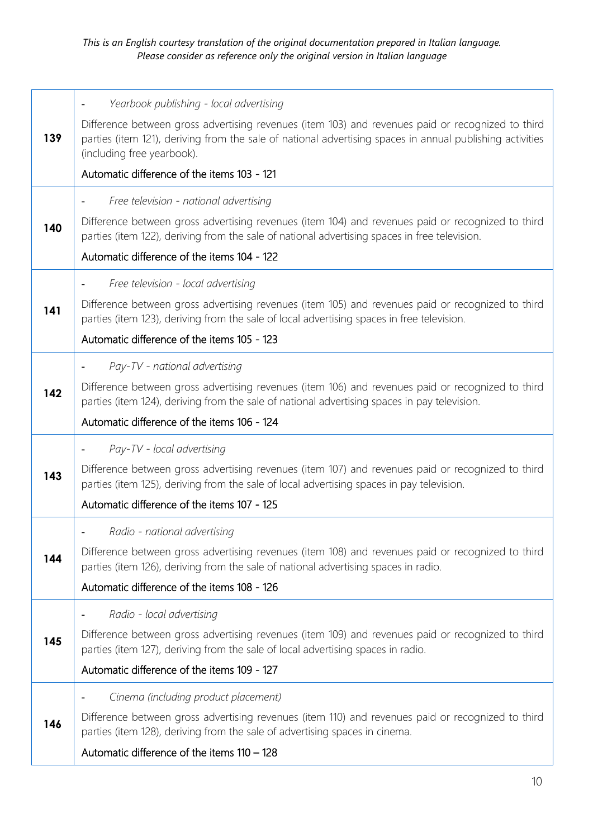|     | Yearbook publishing - local advertising<br>٠                                                                                                                                                                                                 |
|-----|----------------------------------------------------------------------------------------------------------------------------------------------------------------------------------------------------------------------------------------------|
| 139 | Difference between gross advertising revenues (item 103) and revenues paid or recognized to third<br>parties (item 121), deriving from the sale of national advertising spaces in annual publishing activities<br>(including free yearbook). |
|     | Automatic difference of the items 103 - 121                                                                                                                                                                                                  |
|     | Free television - national advertising<br>٠                                                                                                                                                                                                  |
| 140 | Difference between gross advertising revenues (item 104) and revenues paid or recognized to third<br>parties (item 122), deriving from the sale of national advertising spaces in free television.                                           |
|     | Automatic difference of the items 104 - 122                                                                                                                                                                                                  |
|     | Free television - local advertising<br>٠                                                                                                                                                                                                     |
| 141 | Difference between gross advertising revenues (item 105) and revenues paid or recognized to third<br>parties (item 123), deriving from the sale of local advertising spaces in free television.                                              |
|     | Automatic difference of the items 105 - 123                                                                                                                                                                                                  |
|     | Pay-TV - national advertising<br>۰                                                                                                                                                                                                           |
| 142 | Difference between gross advertising revenues (item 106) and revenues paid or recognized to third<br>parties (item 124), deriving from the sale of national advertising spaces in pay television.                                            |
|     | Automatic difference of the items 106 - 124                                                                                                                                                                                                  |
|     | Pay-TV - local advertising<br>٠                                                                                                                                                                                                              |
| 143 | Difference between gross advertising revenues (item 107) and revenues paid or recognized to third<br>parties (item 125), deriving from the sale of local advertising spaces in pay television.                                               |
|     | Automatic difference of the items 107 - 125                                                                                                                                                                                                  |
|     | Radio - national advertising                                                                                                                                                                                                                 |
| 144 | Difference between gross advertising revenues (item 108) and revenues paid or recognized to third<br>parties (item 126), deriving from the sale of national advertising spaces in radio.                                                     |
|     | Automatic difference of the items 108 - 126                                                                                                                                                                                                  |
|     | Radio - local advertising                                                                                                                                                                                                                    |
| 145 | Difference between gross advertising revenues (item 109) and revenues paid or recognized to third<br>parties (item 127), deriving from the sale of local advertising spaces in radio.                                                        |
|     | Automatic difference of the items 109 - 127                                                                                                                                                                                                  |
|     | Cinema (including product placement)                                                                                                                                                                                                         |
| 146 | Difference between gross advertising revenues (item 110) and revenues paid or recognized to third<br>parties (item 128), deriving from the sale of advertising spaces in cinema.                                                             |
|     | Automatic difference of the items 110 - 128                                                                                                                                                                                                  |